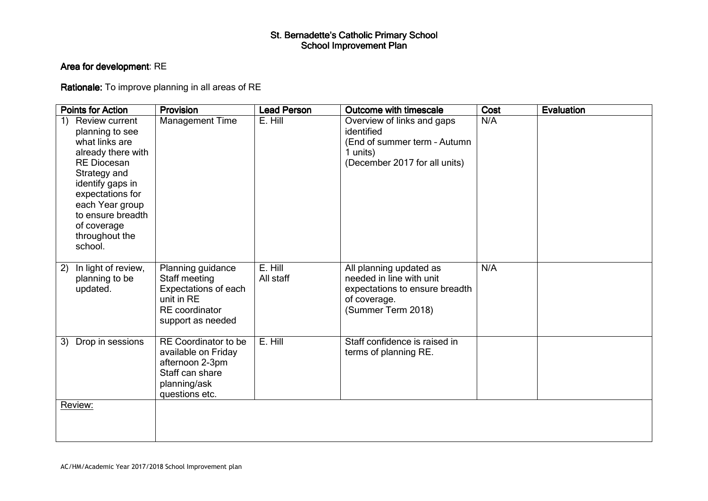## St. Bernadette's Catholic Primary School<br>School Improvement Plan

## Area for development: RE

Rationale: To improve planning in all areas of RE

| <b>Points for Action</b>                                                                                                                                                                                                                          | Provision                                                                                                           | <b>Lead Person</b>   | Outcome with timescale                                                                                                      | Cost | Evaluation |
|---------------------------------------------------------------------------------------------------------------------------------------------------------------------------------------------------------------------------------------------------|---------------------------------------------------------------------------------------------------------------------|----------------------|-----------------------------------------------------------------------------------------------------------------------------|------|------------|
| 1)<br>Review current<br>planning to see<br>what links are<br>already there with<br><b>RE Diocesan</b><br>Strategy and<br>identify gaps in<br>expectations for<br>each Year group<br>to ensure breadth<br>of coverage<br>throughout the<br>school. | Management Time                                                                                                     | E. Hill              | Overview of links and gaps<br>identified<br>(End of summer term - Autumn<br>1 units)<br>(December 2017 for all units)       | N/A  |            |
| In light of review,<br>2)<br>planning to be<br>updated.                                                                                                                                                                                           | Planning guidance<br>Staff meeting<br>Expectations of each<br>unit in RE<br>RE coordinator<br>support as needed     | E. Hill<br>All staff | All planning updated as<br>needed in line with unit<br>expectations to ensure breadth<br>of coverage.<br>(Summer Term 2018) | N/A  |            |
| 3)<br>Drop in sessions                                                                                                                                                                                                                            | RE Coordinator to be<br>available on Friday<br>afternoon 2-3pm<br>Staff can share<br>planning/ask<br>questions etc. | E. Hill              | Staff confidence is raised in<br>terms of planning RE.                                                                      |      |            |
| Review:                                                                                                                                                                                                                                           |                                                                                                                     |                      |                                                                                                                             |      |            |